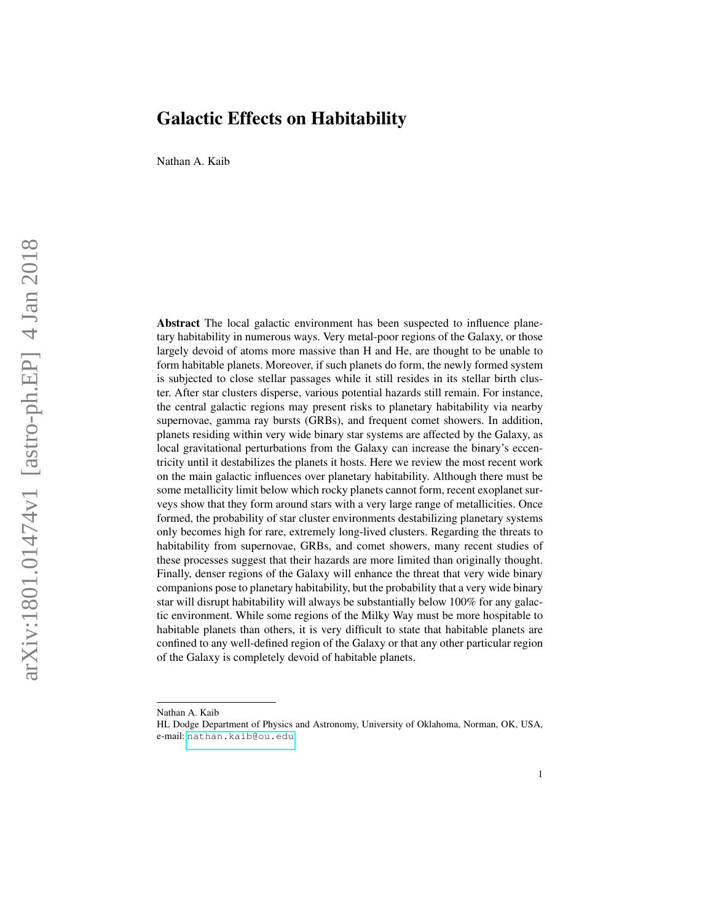Nathan A. Kaib

Abstract The local galactic environment has been suspected to influence planetary habitability in numerous ways. Very metal-poor regions of the Galaxy, or those largely devoid of atoms more massive than H and He, are thought to be unable to form habitable planets. Moreover, if such planets do form, the newly formed system is subjected to close stellar passages while it still resides in its stellar birth cluster. After star clusters disperse, various potential hazards still remain. For instance, the central galactic regions may present risks to planetary habitability via nearby supernovae, gamma ray bursts (GRBs), and frequent comet showers. In addition, planets residing within very wide binary star systems are affected by the Galaxy, as local gravitational perturbations from the Galaxy can increase the binary's eccentricity until it destabilizes the planets it hosts. Here we review the most recent work on the main galactic influences over planetary habitability. Although there must be some metallicity limit below which rocky planets cannot form, recent exoplanet surveys show that they form around stars with a very large range of metallicities. Once formed, the probability of star cluster environments destabilizing planetary systems only becomes high for rare, extremely long-lived clusters. Regarding the threats to habitability from supernovae, GRBs, and comet showers, many recent studies of these processes suggest that their hazards are more limited than originally thought. Finally, denser regions of the Galaxy will enhance the threat that very wide binary companions pose to planetary habitability, but the probability that a very wide binary star will disrupt habitability will always be substantially below 100% for any galactic environment. While some regions of the Milky Way must be more hospitable to habitable planets than others, it is very difficult to state that habitable planets are confined to any well-defined region of the Galaxy or that any other particular region of the Galaxy is completely devoid of habitable planets.

Nathan A. Kaib

HL Dodge Department of Physics and Astronomy, University of Oklahoma, Norman, OK, USA, e-mail: <nathan.kaib@ou.edu>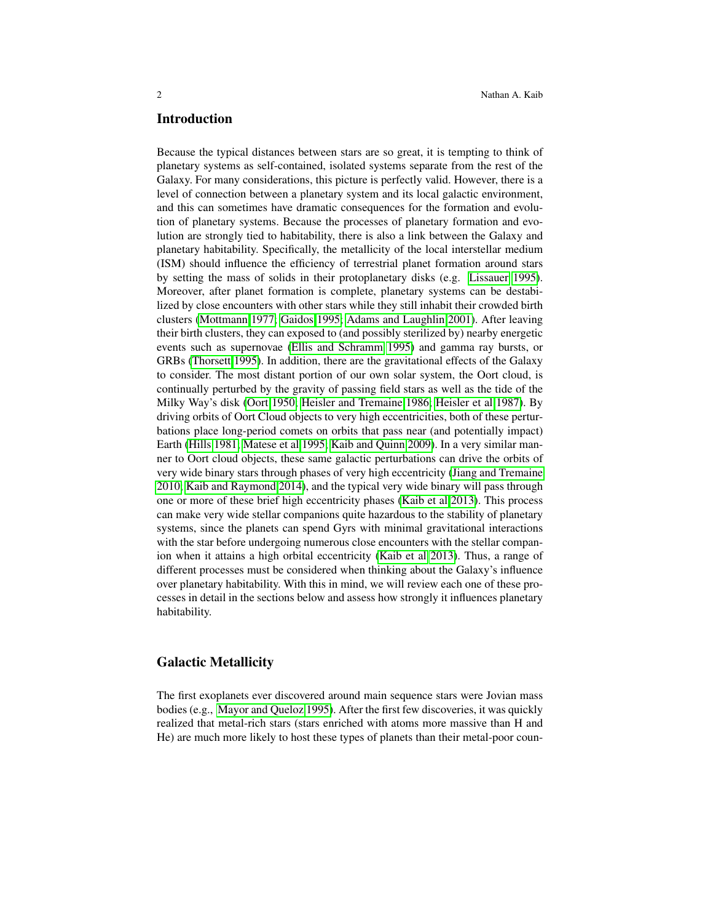## Introduction

Because the typical distances between stars are so great, it is tempting to think of planetary systems as self-contained, isolated systems separate from the rest of the Galaxy. For many considerations, this picture is perfectly valid. However, there is a level of connection between a planetary system and its local galactic environment, and this can sometimes have dramatic consequences for the formation and evolution of planetary systems. Because the processes of planetary formation and evolution are strongly tied to habitability, there is also a link between the Galaxy and planetary habitability. Specifically, the metallicity of the local interstellar medium (ISM) should influence the efficiency of terrestrial planet formation around stars by setting the mass of solids in their protoplanetary disks (e.g. [Lissauer 1995\)](#page-17-0). Moreover, after planet formation is complete, planetary systems can be destabilized by close encounters with other stars while they still inhabit their crowded birth clusters [\(Mottmann 1977;](#page-17-1) [Gaidos 1995;](#page-16-0) [Adams and Laughlin 2001\)](#page-15-0). After leaving their birth clusters, they can exposed to (and possibly sterilized by) nearby energetic events such as supernovae [\(Ellis and Schramm 1995\)](#page-16-1) and gamma ray bursts, or GRBs [\(Thorsett 1995\)](#page-18-0). In addition, there are the gravitational effects of the Galaxy to consider. The most distant portion of our own solar system, the Oort cloud, is continually perturbed by the gravity of passing field stars as well as the tide of the Milky Way's disk [\(Oort 1950;](#page-18-1) [Heisler and Tremaine 1986;](#page-16-2) [Heisler et al 1987\)](#page-16-3). By driving orbits of Oort Cloud objects to very high eccentricities, both of these perturbations place long-period comets on orbits that pass near (and potentially impact) Earth [\(Hills 1981;](#page-16-4) [Matese et al 1995;](#page-17-2) [Kaib and Quinn 2009\)](#page-16-5). In a very similar manner to Oort cloud objects, these same galactic perturbations can drive the orbits of very wide binary stars through phases of very high eccentricity [\(Jiang and Tremaine](#page-16-6) [2010;](#page-16-6) [Kaib and Raymond 2014\)](#page-17-3), and the typical very wide binary will pass through one or more of these brief high eccentricity phases [\(Kaib et al 2013\)](#page-17-4). This process can make very wide stellar companions quite hazardous to the stability of planetary systems, since the planets can spend Gyrs with minimal gravitational interactions with the star before undergoing numerous close encounters with the stellar companion when it attains a high orbital eccentricity [\(Kaib et al 2013\)](#page-17-4). Thus, a range of different processes must be considered when thinking about the Galaxy's influence over planetary habitability. With this in mind, we will review each one of these processes in detail in the sections below and assess how strongly it influences planetary habitability.

### Galactic Metallicity

The first exoplanets ever discovered around main sequence stars were Jovian mass bodies (e.g., [Mayor and Queloz 1995\)](#page-17-5). After the first few discoveries, it was quickly realized that metal-rich stars (stars enriched with atoms more massive than H and He) are much more likely to host these types of planets than their metal-poor coun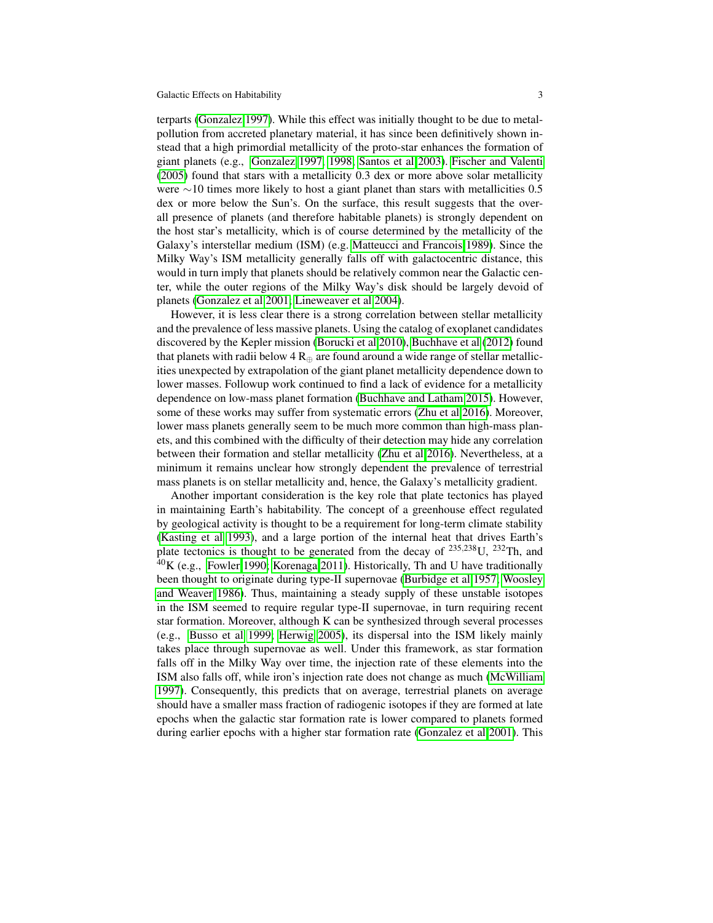terparts [\(Gonzalez 1997\)](#page-16-7). While this effect was initially thought to be due to metalpollution from accreted planetary material, it has since been definitively shown instead that a high primordial metallicity of the proto-star enhances the formation of giant planets (e.g., [Gonzalez 1997,](#page-16-7) [1998;](#page-16-8) [Santos et al 2003\)](#page-18-2). [Fischer and Valenti](#page-16-9) [\(2005\)](#page-16-9) found that stars with a metallicity 0.3 dex or more above solar metallicity were ∼10 times more likely to host a giant planet than stars with metallicities 0.5 dex or more below the Sun's. On the surface, this result suggests that the overall presence of planets (and therefore habitable planets) is strongly dependent on the host star's metallicity, which is of course determined by the metallicity of the Galaxy's interstellar medium (ISM) (e.g. [Matteucci and Francois 1989\)](#page-17-6). Since the Milky Way's ISM metallicity generally falls off with galactocentric distance, this would in turn imply that planets should be relatively common near the Galactic center, while the outer regions of the Milky Way's disk should be largely devoid of planets [\(Gonzalez et al 2001;](#page-16-10) [Lineweaver et al 2004\)](#page-17-7).

However, it is less clear there is a strong correlation between stellar metallicity and the prevalence of less massive planets. Using the catalog of exoplanet candidates discovered by the Kepler mission [\(Borucki et al 2010\)](#page-15-1), [Buchhave et al](#page-15-2) [\(2012\)](#page-15-2) found that planets with radii below 4  $\mathbb{R}_{\oplus}$  are found around a wide range of stellar metallicities unexpected by extrapolation of the giant planet metallicity dependence down to lower masses. Followup work continued to find a lack of evidence for a metallicity dependence on low-mass planet formation [\(Buchhave and Latham 2015\)](#page-15-3). However, some of these works may suffer from systematic errors [\(Zhu et al 2016\)](#page-18-3). Moreover, lower mass planets generally seem to be much more common than high-mass planets, and this combined with the difficulty of their detection may hide any correlation between their formation and stellar metallicity [\(Zhu et al 2016\)](#page-18-3). Nevertheless, at a minimum it remains unclear how strongly dependent the prevalence of terrestrial mass planets is on stellar metallicity and, hence, the Galaxy's metallicity gradient.

Another important consideration is the key role that plate tectonics has played in maintaining Earth's habitability. The concept of a greenhouse effect regulated by geological activity is thought to be a requirement for long-term climate stability [\(Kasting et al 1993\)](#page-17-8), and a large portion of the internal heat that drives Earth's plate tectonics is thought to be generated from the decay of  $235,238$ U,  $232$ Th, and  $40K$  (e.g., [Fowler 1990;](#page-16-11) [Korenaga 2011\)](#page-17-9). Historically, Th and U have traditionally been thought to originate during type-II supernovae [\(Burbidge et al 1957;](#page-15-4) [Woosley](#page-18-4) [and Weaver 1986\)](#page-18-4). Thus, maintaining a steady supply of these unstable isotopes in the ISM seemed to require regular type-II supernovae, in turn requiring recent star formation. Moreover, although K can be synthesized through several processes (e.g., [Busso et al 1999;](#page-15-5) [Herwig 2005\)](#page-16-12), its dispersal into the ISM likely mainly takes place through supernovae as well. Under this framework, as star formation falls off in the Milky Way over time, the injection rate of these elements into the ISM also falls off, while iron's injection rate does not change as much [\(McWilliam](#page-17-10) [1997\)](#page-17-10). Consequently, this predicts that on average, terrestrial planets on average should have a smaller mass fraction of radiogenic isotopes if they are formed at late epochs when the galactic star formation rate is lower compared to planets formed during earlier epochs with a higher star formation rate [\(Gonzalez et al 2001\)](#page-16-10). This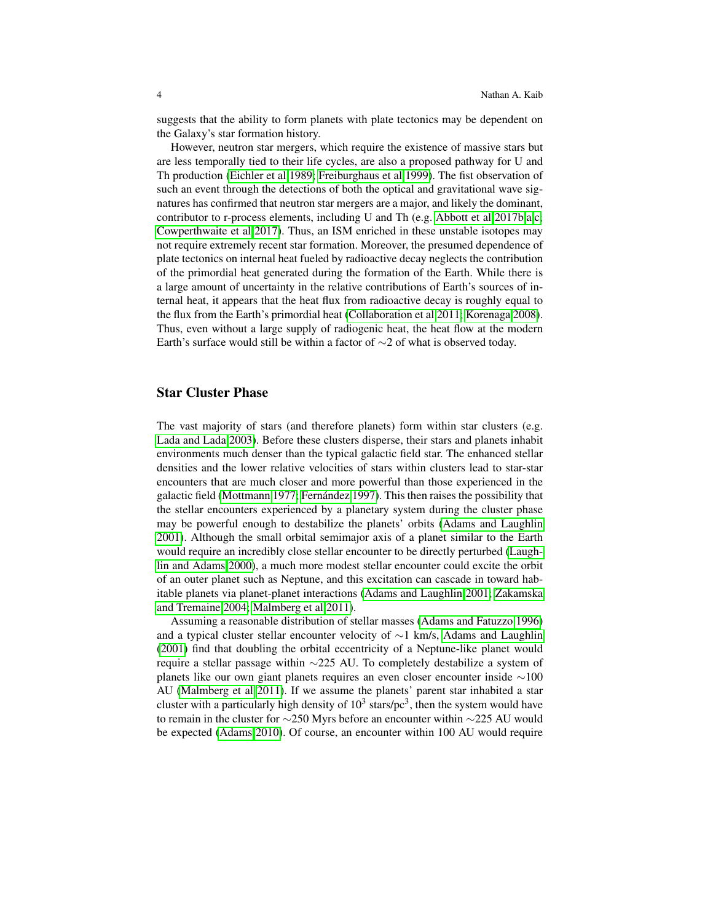suggests that the ability to form planets with plate tectonics may be dependent on the Galaxy's star formation history.

However, neutron star mergers, which require the existence of massive stars but are less temporally tied to their life cycles, are also a proposed pathway for U and Th production [\(Eichler et al 1989;](#page-16-13) [Freiburghaus et al 1999\)](#page-16-14). The fist observation of such an event through the detections of both the optical and gravitational wave signatures has confirmed that neutron star mergers are a major, and likely the dominant, contributor to r-process elements, including U and Th (e.g. [Abbott et al 2017b](#page-15-6)[,a,](#page-15-7)[c;](#page-15-8) [Cowperthwaite et al 2017\)](#page-15-9). Thus, an ISM enriched in these unstable isotopes may not require extremely recent star formation. Moreover, the presumed dependence of plate tectonics on internal heat fueled by radioactive decay neglects the contribution of the primordial heat generated during the formation of the Earth. While there is a large amount of uncertainty in the relative contributions of Earth's sources of internal heat, it appears that the heat flux from radioactive decay is roughly equal to the flux from the Earth's primordial heat [\(Collaboration et al 2011;](#page-15-10) [Korenaga 2008\)](#page-17-11). Thus, even without a large supply of radiogenic heat, the heat flow at the modern Earth's surface would still be within a factor of ∼2 of what is observed today.

## Star Cluster Phase

The vast majority of stars (and therefore planets) form within star clusters (e.g. [Lada and Lada 2003\)](#page-17-12). Before these clusters disperse, their stars and planets inhabit environments much denser than the typical galactic field star. The enhanced stellar densities and the lower relative velocities of stars within clusters lead to star-star encounters that are much closer and more powerful than those experienced in the galactic field [\(Mottmann 1977;](#page-17-1) Fernández 1997). This then raises the possibility that the stellar encounters experienced by a planetary system during the cluster phase may be powerful enough to destabilize the planets' orbits [\(Adams and Laughlin](#page-15-0) [2001\)](#page-15-0). Although the small orbital semimajor axis of a planet similar to the Earth would require an incredibly close stellar encounter to be directly perturbed [\(Laugh](#page-17-13)[lin and Adams 2000\)](#page-17-13), a much more modest stellar encounter could excite the orbit of an outer planet such as Neptune, and this excitation can cascade in toward habitable planets via planet-planet interactions [\(Adams and Laughlin 2001;](#page-15-0) [Zakamska](#page-18-5) [and Tremaine 2004;](#page-18-5) [Malmberg et al 2011\)](#page-17-14).

Assuming a reasonable distribution of stellar masses [\(Adams and Fatuzzo 1996\)](#page-15-11) and a typical cluster stellar encounter velocity of ∼1 km/s, [Adams and Laughlin](#page-15-0) [\(2001\)](#page-15-0) find that doubling the orbital eccentricity of a Neptune-like planet would require a stellar passage within ∼225 AU. To completely destabilize a system of planets like our own giant planets requires an even closer encounter inside ∼100 AU [\(Malmberg et al 2011\)](#page-17-14). If we assume the planets' parent star inhabited a star cluster with a particularly high density of  $10^3$  stars/pc<sup>3</sup>, then the system would have to remain in the cluster for ∼250 Myrs before an encounter within ∼225 AU would be expected [\(Adams 2010\)](#page-15-12). Of course, an encounter within 100 AU would require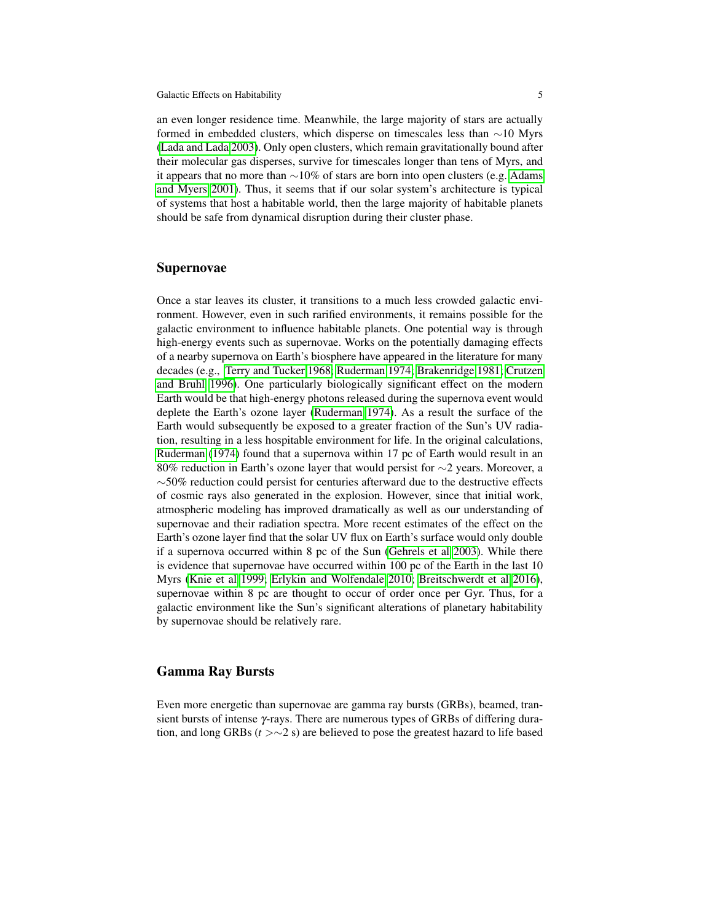an even longer residence time. Meanwhile, the large majority of stars are actually formed in embedded clusters, which disperse on timescales less than ∼10 Myrs [\(Lada and Lada 2003\)](#page-17-12). Only open clusters, which remain gravitationally bound after their molecular gas disperses, survive for timescales longer than tens of Myrs, and it appears that no more than ∼10% of stars are born into open clusters (e.g. [Adams](#page-15-13) [and Myers 2001\)](#page-15-13). Thus, it seems that if our solar system's architecture is typical of systems that host a habitable world, then the large majority of habitable planets should be safe from dynamical disruption during their cluster phase.

## Supernovae

Once a star leaves its cluster, it transitions to a much less crowded galactic environment. However, even in such rarified environments, it remains possible for the galactic environment to influence habitable planets. One potential way is through high-energy events such as supernovae. Works on the potentially damaging effects of a nearby supernova on Earth's biosphere have appeared in the literature for many decades (e.g., [Terry and Tucker 1968;](#page-18-6) [Ruderman 1974;](#page-18-7) [Brakenridge 1981;](#page-15-14) [Crutzen](#page-15-15) [and Bruhl 1996\)](#page-15-15). One particularly biologically significant effect on the modern Earth would be that high-energy photons released during the supernova event would deplete the Earth's ozone layer [\(Ruderman 1974\)](#page-18-7). As a result the surface of the Earth would subsequently be exposed to a greater fraction of the Sun's UV radiation, resulting in a less hospitable environment for life. In the original calculations, [Ruderman](#page-18-7) [\(1974\)](#page-18-7) found that a supernova within 17 pc of Earth would result in an 80% reduction in Earth's ozone layer that would persist for ∼2 years. Moreover, a ∼50% reduction could persist for centuries afterward due to the destructive effects of cosmic rays also generated in the explosion. However, since that initial work, atmospheric modeling has improved dramatically as well as our understanding of supernovae and their radiation spectra. More recent estimates of the effect on the Earth's ozone layer find that the solar UV flux on Earth's surface would only double if a supernova occurred within 8 pc of the Sun [\(Gehrels et al 2003\)](#page-16-16). While there is evidence that supernovae have occurred within 100 pc of the Earth in the last 10 Myrs [\(Knie et al 1999;](#page-17-15) [Erlykin and Wolfendale 2010;](#page-16-17) [Breitschwerdt et al 2016\)](#page-15-16), supernovae within 8 pc are thought to occur of order once per Gyr. Thus, for a galactic environment like the Sun's significant alterations of planetary habitability by supernovae should be relatively rare.

## Gamma Ray Bursts

Even more energetic than supernovae are gamma ray bursts (GRBs), beamed, transient bursts of intense γ-rays. There are numerous types of GRBs of differing duration, and long GRBs (*t* >∼2 s) are believed to pose the greatest hazard to life based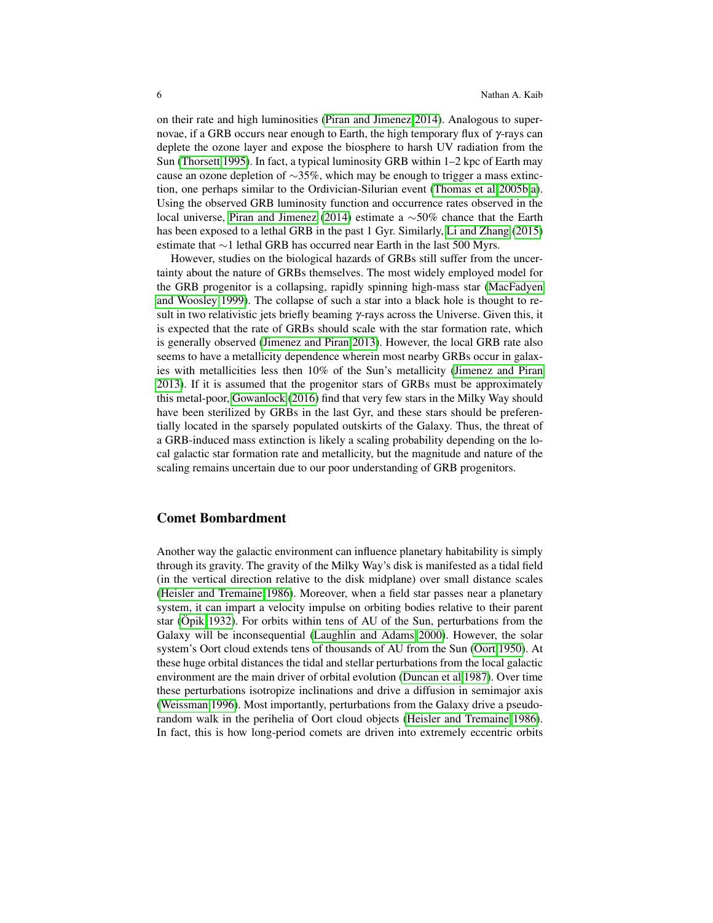on their rate and high luminosities [\(Piran and Jimenez 2014\)](#page-18-8). Analogous to supernovae, if a GRB occurs near enough to Earth, the high temporary flux of γ-rays can deplete the ozone layer and expose the biosphere to harsh UV radiation from the Sun [\(Thorsett 1995\)](#page-18-0). In fact, a typical luminosity GRB within 1–2 kpc of Earth may cause an ozone depletion of ∼35%, which may be enough to trigger a mass extinction, one perhaps similar to the Ordivician-Silurian event [\(Thomas et al 2005b,](#page-18-9)[a\)](#page-18-10). Using the observed GRB luminosity function and occurrence rates observed in the local universe, [Piran and Jimenez](#page-18-8) [\(2014\)](#page-18-8) estimate a ∼50% chance that the Earth has been exposed to a lethal GRB in the past 1 Gyr. Similarly, [Li and Zhang](#page-17-16) [\(2015\)](#page-17-16) estimate that ∼1 lethal GRB has occurred near Earth in the last 500 Myrs.

However, studies on the biological hazards of GRBs still suffer from the uncertainty about the nature of GRBs themselves. The most widely employed model for the GRB progenitor is a collapsing, rapidly spinning high-mass star [\(MacFadyen](#page-17-17) [and Woosley 1999\)](#page-17-17). The collapse of such a star into a black hole is thought to result in two relativistic jets briefly beaming γ-rays across the Universe. Given this, it is expected that the rate of GRBs should scale with the star formation rate, which is generally observed [\(Jimenez and Piran 2013\)](#page-16-18). However, the local GRB rate also seems to have a metallicity dependence wherein most nearby GRBs occur in galaxies with metallicities less then 10% of the Sun's metallicity [\(Jimenez and Piran](#page-16-18) [2013\)](#page-16-18). If it is assumed that the progenitor stars of GRBs must be approximately this metal-poor, [Gowanlock](#page-16-19) [\(2016\)](#page-16-19) find that very few stars in the Milky Way should have been sterilized by GRBs in the last Gyr, and these stars should be preferentially located in the sparsely populated outskirts of the Galaxy. Thus, the threat of a GRB-induced mass extinction is likely a scaling probability depending on the local galactic star formation rate and metallicity, but the magnitude and nature of the scaling remains uncertain due to our poor understanding of GRB progenitors.

## Comet Bombardment

Another way the galactic environment can influence planetary habitability is simply through its gravity. The gravity of the Milky Way's disk is manifested as a tidal field (in the vertical direction relative to the disk midplane) over small distance scales [\(Heisler and Tremaine 1986\)](#page-16-2). Moreover, when a field star passes near a planetary system, it can impart a velocity impulse on orbiting bodies relative to their parent star ( $\ddot{O}$ pik 1932). For orbits within tens of AU of the Sun, perturbations from the Galaxy will be inconsequential [\(Laughlin and Adams 2000\)](#page-17-13). However, the solar system's Oort cloud extends tens of thousands of AU from the Sun [\(Oort 1950\)](#page-18-1). At these huge orbital distances the tidal and stellar perturbations from the local galactic environment are the main driver of orbital evolution [\(Duncan et al 1987\)](#page-16-20). Over time these perturbations isotropize inclinations and drive a diffusion in semimajor axis [\(Weissman 1996\)](#page-18-12). Most importantly, perturbations from the Galaxy drive a pseudorandom walk in the perihelia of Oort cloud objects [\(Heisler and Tremaine 1986\)](#page-16-2). In fact, this is how long-period comets are driven into extremely eccentric orbits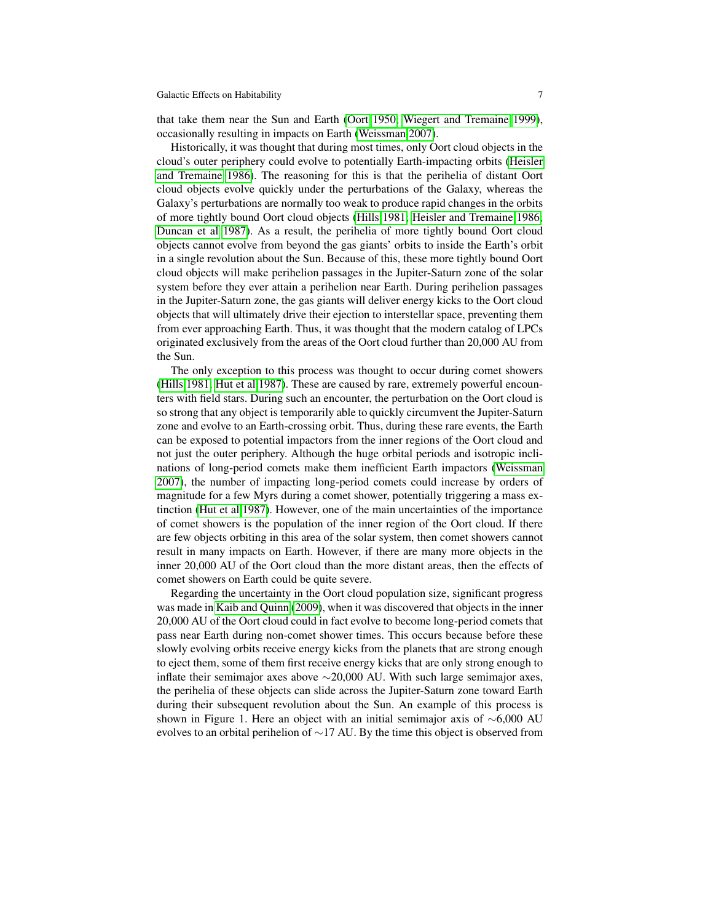that take them near the Sun and Earth [\(Oort 1950;](#page-18-1) [Wiegert and Tremaine 1999\)](#page-18-13), occasionally resulting in impacts on Earth [\(Weissman 2007\)](#page-18-14).

Historically, it was thought that during most times, only Oort cloud objects in the cloud's outer periphery could evolve to potentially Earth-impacting orbits [\(Heisler](#page-16-2) [and Tremaine 1986\)](#page-16-2). The reasoning for this is that the perihelia of distant Oort cloud objects evolve quickly under the perturbations of the Galaxy, whereas the Galaxy's perturbations are normally too weak to produce rapid changes in the orbits of more tightly bound Oort cloud objects [\(Hills 1981;](#page-16-4) [Heisler and Tremaine 1986;](#page-16-2) [Duncan et al 1987\)](#page-16-20). As a result, the perihelia of more tightly bound Oort cloud objects cannot evolve from beyond the gas giants' orbits to inside the Earth's orbit in a single revolution about the Sun. Because of this, these more tightly bound Oort cloud objects will make perihelion passages in the Jupiter-Saturn zone of the solar system before they ever attain a perihelion near Earth. During perihelion passages in the Jupiter-Saturn zone, the gas giants will deliver energy kicks to the Oort cloud objects that will ultimately drive their ejection to interstellar space, preventing them from ever approaching Earth. Thus, it was thought that the modern catalog of LPCs originated exclusively from the areas of the Oort cloud further than 20,000 AU from the Sun.

The only exception to this process was thought to occur during comet showers [\(Hills 1981;](#page-16-4) [Hut et al 1987\)](#page-16-21). These are caused by rare, extremely powerful encounters with field stars. During such an encounter, the perturbation on the Oort cloud is so strong that any object is temporarily able to quickly circumvent the Jupiter-Saturn zone and evolve to an Earth-crossing orbit. Thus, during these rare events, the Earth can be exposed to potential impactors from the inner regions of the Oort cloud and not just the outer periphery. Although the huge orbital periods and isotropic inclinations of long-period comets make them inefficient Earth impactors [\(Weissman](#page-18-14) [2007\)](#page-18-14), the number of impacting long-period comets could increase by orders of magnitude for a few Myrs during a comet shower, potentially triggering a mass extinction [\(Hut et al 1987\)](#page-16-21). However, one of the main uncertainties of the importance of comet showers is the population of the inner region of the Oort cloud. If there are few objects orbiting in this area of the solar system, then comet showers cannot result in many impacts on Earth. However, if there are many more objects in the inner 20,000 AU of the Oort cloud than the more distant areas, then the effects of comet showers on Earth could be quite severe.

Regarding the uncertainty in the Oort cloud population size, significant progress was made in [Kaib and Quinn](#page-16-5) [\(2009\)](#page-16-5), when it was discovered that objects in the inner 20,000 AU of the Oort cloud could in fact evolve to become long-period comets that pass near Earth during non-comet shower times. This occurs because before these slowly evolving orbits receive energy kicks from the planets that are strong enough to eject them, some of them first receive energy kicks that are only strong enough to inflate their semimajor axes above  $\sim$ 20,000 AU. With such large semimajor axes, the perihelia of these objects can slide across the Jupiter-Saturn zone toward Earth during their subsequent revolution about the Sun. An example of this process is shown in Figure 1. Here an object with an initial semimajor axis of ∼6,000 AU evolves to an orbital perihelion of ∼17 AU. By the time this object is observed from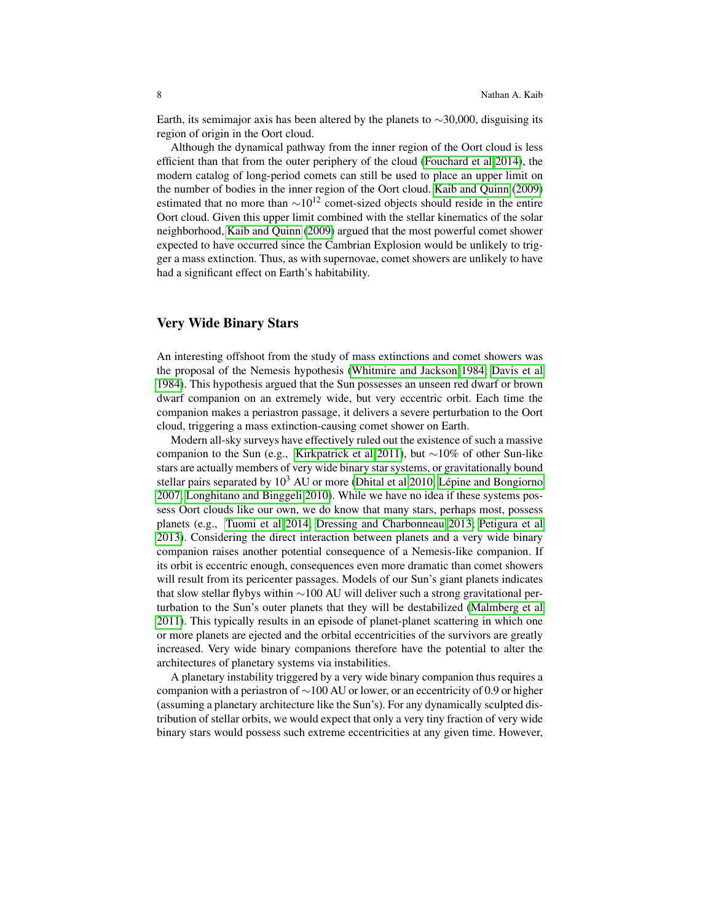Earth, its semimajor axis has been altered by the planets to  $\sim$ 30,000, disguising its region of origin in the Oort cloud.

Although the dynamical pathway from the inner region of the Oort cloud is less efficient than that from the outer periphery of the cloud [\(Fouchard et al 2014\)](#page-16-22), the modern catalog of long-period comets can still be used to place an upper limit on the number of bodies in the inner region of the Oort cloud. [Kaib and Quinn](#page-16-5) [\(2009\)](#page-16-5) estimated that no more than  $\sim 10^{12}$  comet-sized objects should reside in the entire Oort cloud. Given this upper limit combined with the stellar kinematics of the solar neighborhood, [Kaib and Quinn](#page-16-5) [\(2009\)](#page-16-5) argued that the most powerful comet shower expected to have occurred since the Cambrian Explosion would be unlikely to trigger a mass extinction. Thus, as with supernovae, comet showers are unlikely to have had a significant effect on Earth's habitability.

## Very Wide Binary Stars

An interesting offshoot from the study of mass extinctions and comet showers was the proposal of the Nemesis hypothesis [\(Whitmire and Jackson 1984;](#page-18-15) [Davis et al](#page-15-17) [1984\)](#page-15-17). This hypothesis argued that the Sun possesses an unseen red dwarf or brown dwarf companion on an extremely wide, but very eccentric orbit. Each time the companion makes a periastron passage, it delivers a severe perturbation to the Oort cloud, triggering a mass extinction-causing comet shower on Earth.

Modern all-sky surveys have effectively ruled out the existence of such a massive companion to the Sun (e.g., [Kirkpatrick et al 2011\)](#page-17-18), but ∼10% of other Sun-like stars are actually members of very wide binary star systems, or gravitationally bound stellar pairs separated by  $10<sup>3</sup>$  AU or more [\(Dhital et al 2010;](#page-15-18) Lépine and Bongiorno [2007;](#page-17-19) [Longhitano and Binggeli 2010\)](#page-17-20). While we have no idea if these systems possess Oort clouds like our own, we do know that many stars, perhaps most, possess planets (e.g., [Tuomi et al 2014;](#page-18-16) [Dressing and Charbonneau 2013;](#page-15-19) [Petigura et al](#page-18-17) [2013\)](#page-18-17). Considering the direct interaction between planets and a very wide binary companion raises another potential consequence of a Nemesis-like companion. If its orbit is eccentric enough, consequences even more dramatic than comet showers will result from its pericenter passages. Models of our Sun's giant planets indicates that slow stellar flybys within  $\sim$ 100 AU will deliver such a strong gravitational perturbation to the Sun's outer planets that they will be destabilized [\(Malmberg et al](#page-17-14) [2011\)](#page-17-14). This typically results in an episode of planet-planet scattering in which one or more planets are ejected and the orbital eccentricities of the survivors are greatly increased. Very wide binary companions therefore have the potential to alter the architectures of planetary systems via instabilities.

A planetary instability triggered by a very wide binary companion thus requires a companion with a periastron of ∼100 AU or lower, or an eccentricity of 0.9 or higher (assuming a planetary architecture like the Sun's). For any dynamically sculpted distribution of stellar orbits, we would expect that only a very tiny fraction of very wide binary stars would possess such extreme eccentricities at any given time. However,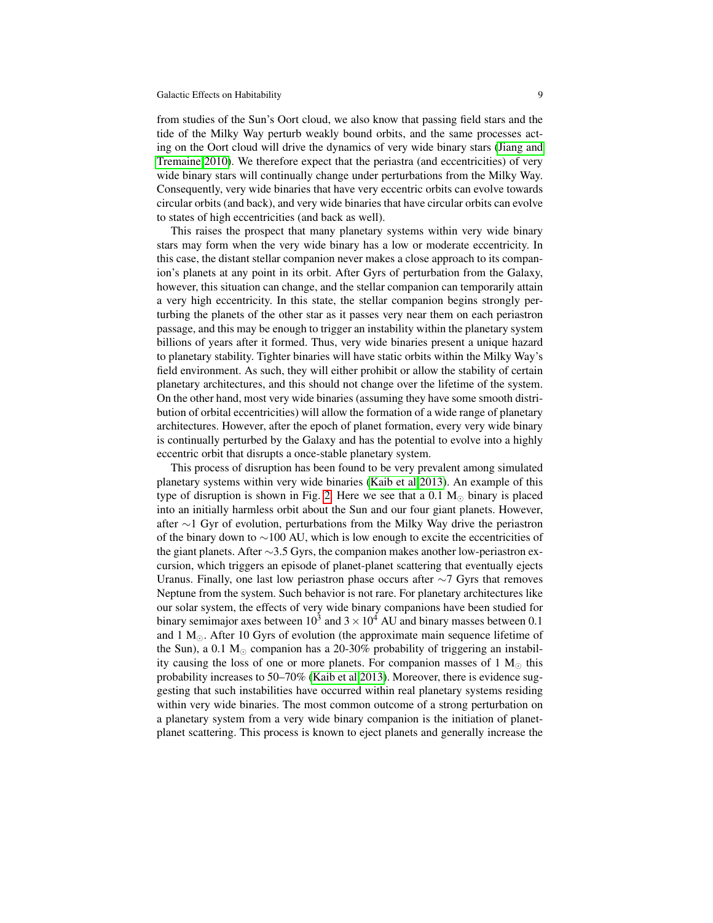from studies of the Sun's Oort cloud, we also know that passing field stars and the tide of the Milky Way perturb weakly bound orbits, and the same processes acting on the Oort cloud will drive the dynamics of very wide binary stars [\(Jiang and](#page-16-6) [Tremaine 2010\)](#page-16-6). We therefore expect that the periastra (and eccentricities) of very wide binary stars will continually change under perturbations from the Milky Way. Consequently, very wide binaries that have very eccentric orbits can evolve towards circular orbits (and back), and very wide binaries that have circular orbits can evolve to states of high eccentricities (and back as well).

This raises the prospect that many planetary systems within very wide binary stars may form when the very wide binary has a low or moderate eccentricity. In this case, the distant stellar companion never makes a close approach to its companion's planets at any point in its orbit. After Gyrs of perturbation from the Galaxy, however, this situation can change, and the stellar companion can temporarily attain a very high eccentricity. In this state, the stellar companion begins strongly perturbing the planets of the other star as it passes very near them on each periastron passage, and this may be enough to trigger an instability within the planetary system billions of years after it formed. Thus, very wide binaries present a unique hazard to planetary stability. Tighter binaries will have static orbits within the Milky Way's field environment. As such, they will either prohibit or allow the stability of certain planetary architectures, and this should not change over the lifetime of the system. On the other hand, most very wide binaries (assuming they have some smooth distribution of orbital eccentricities) will allow the formation of a wide range of planetary architectures. However, after the epoch of planet formation, every very wide binary is continually perturbed by the Galaxy and has the potential to evolve into a highly eccentric orbit that disrupts a once-stable planetary system.

This process of disruption has been found to be very prevalent among simulated planetary systems within very wide binaries [\(Kaib et al 2013\)](#page-17-4). An example of this type of disruption is shown in Fig. [2.](#page-14-0) Here we see that a 0.1  $M_{\odot}$  binary is placed into an initially harmless orbit about the Sun and our four giant planets. However, after ∼1 Gyr of evolution, perturbations from the Milky Way drive the periastron of the binary down to ∼100 AU, which is low enough to excite the eccentricities of the giant planets. After ∼3.5 Gyrs, the companion makes another low-periastron excursion, which triggers an episode of planet-planet scattering that eventually ejects Uranus. Finally, one last low periastron phase occurs after ∼7 Gyrs that removes Neptune from the system. Such behavior is not rare. For planetary architectures like our solar system, the effects of very wide binary companions have been studied for binary semimajor axes between  $10^3$  and  $3 \times 10^4$  AU and binary masses between 0.1 and  $1 \text{ M}$ . After 10 Gyrs of evolution (the approximate main sequence lifetime of the Sun), a 0.1  $M_{\odot}$  companion has a 20-30% probability of triggering an instability causing the loss of one or more planets. For companion masses of  $1 M_{\odot}$  this probability increases to 50–70% [\(Kaib et al 2013\)](#page-17-4). Moreover, there is evidence suggesting that such instabilities have occurred within real planetary systems residing within very wide binaries. The most common outcome of a strong perturbation on a planetary system from a very wide binary companion is the initiation of planetplanet scattering. This process is known to eject planets and generally increase the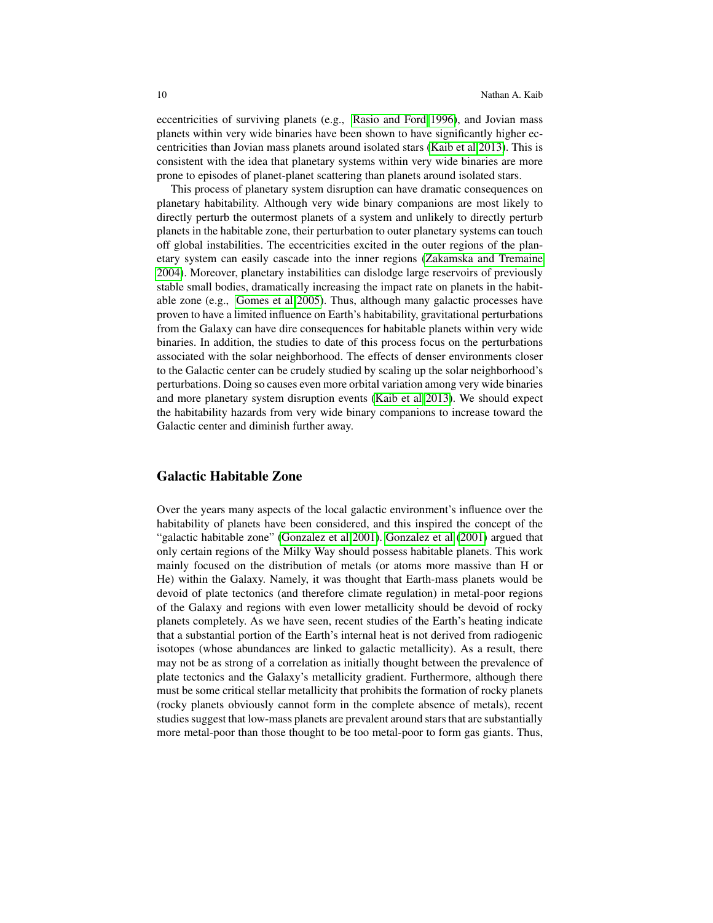eccentricities of surviving planets (e.g., [Rasio and Ford 1996\)](#page-18-18), and Jovian mass planets within very wide binaries have been shown to have significantly higher eccentricities than Jovian mass planets around isolated stars [\(Kaib et al 2013\)](#page-17-4). This is consistent with the idea that planetary systems within very wide binaries are more prone to episodes of planet-planet scattering than planets around isolated stars.

This process of planetary system disruption can have dramatic consequences on planetary habitability. Although very wide binary companions are most likely to directly perturb the outermost planets of a system and unlikely to directly perturb planets in the habitable zone, their perturbation to outer planetary systems can touch off global instabilities. The eccentricities excited in the outer regions of the planetary system can easily cascade into the inner regions [\(Zakamska and Tremaine](#page-18-5) [2004\)](#page-18-5). Moreover, planetary instabilities can dislodge large reservoirs of previously stable small bodies, dramatically increasing the impact rate on planets in the habitable zone (e.g., [Gomes et al 2005\)](#page-16-23). Thus, although many galactic processes have proven to have a limited influence on Earth's habitability, gravitational perturbations from the Galaxy can have dire consequences for habitable planets within very wide binaries. In addition, the studies to date of this process focus on the perturbations associated with the solar neighborhood. The effects of denser environments closer to the Galactic center can be crudely studied by scaling up the solar neighborhood's perturbations. Doing so causes even more orbital variation among very wide binaries and more planetary system disruption events [\(Kaib et al 2013\)](#page-17-4). We should expect the habitability hazards from very wide binary companions to increase toward the Galactic center and diminish further away.

## Galactic Habitable Zone

Over the years many aspects of the local galactic environment's influence over the habitability of planets have been considered, and this inspired the concept of the "galactic habitable zone" [\(Gonzalez et al 2001\)](#page-16-10). [Gonzalez et al](#page-16-10) [\(2001\)](#page-16-10) argued that only certain regions of the Milky Way should possess habitable planets. This work mainly focused on the distribution of metals (or atoms more massive than H or He) within the Galaxy. Namely, it was thought that Earth-mass planets would be devoid of plate tectonics (and therefore climate regulation) in metal-poor regions of the Galaxy and regions with even lower metallicity should be devoid of rocky planets completely. As we have seen, recent studies of the Earth's heating indicate that a substantial portion of the Earth's internal heat is not derived from radiogenic isotopes (whose abundances are linked to galactic metallicity). As a result, there may not be as strong of a correlation as initially thought between the prevalence of plate tectonics and the Galaxy's metallicity gradient. Furthermore, although there must be some critical stellar metallicity that prohibits the formation of rocky planets (rocky planets obviously cannot form in the complete absence of metals), recent studies suggest that low-mass planets are prevalent around stars that are substantially more metal-poor than those thought to be too metal-poor to form gas giants. Thus,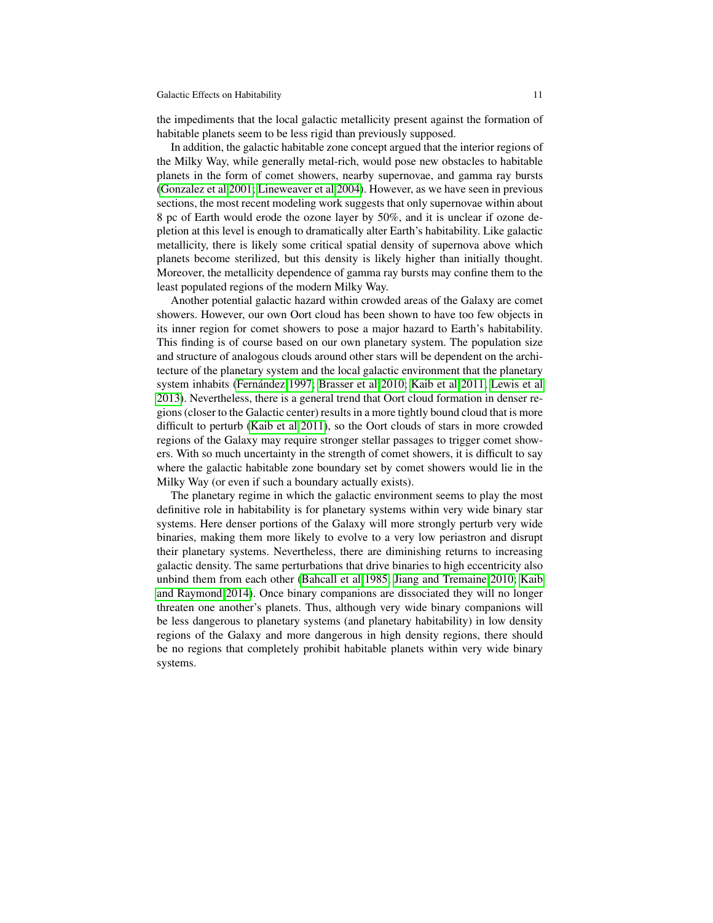the impediments that the local galactic metallicity present against the formation of habitable planets seem to be less rigid than previously supposed.

In addition, the galactic habitable zone concept argued that the interior regions of the Milky Way, while generally metal-rich, would pose new obstacles to habitable planets in the form of comet showers, nearby supernovae, and gamma ray bursts [\(Gonzalez et al 2001;](#page-16-10) [Lineweaver et al 2004\)](#page-17-7). However, as we have seen in previous sections, the most recent modeling work suggests that only supernovae within about 8 pc of Earth would erode the ozone layer by 50%, and it is unclear if ozone depletion at this level is enough to dramatically alter Earth's habitability. Like galactic metallicity, there is likely some critical spatial density of supernova above which planets become sterilized, but this density is likely higher than initially thought. Moreover, the metallicity dependence of gamma ray bursts may confine them to the least populated regions of the modern Milky Way.

Another potential galactic hazard within crowded areas of the Galaxy are comet showers. However, our own Oort cloud has been shown to have too few objects in its inner region for comet showers to pose a major hazard to Earth's habitability. This finding is of course based on our own planetary system. The population size and structure of analogous clouds around other stars will be dependent on the architecture of the planetary system and the local galactic environment that the planetary system inhabits [\(Fernandez 1997;](#page-16-15) [Brasser et al 2010;](#page-15-20) [Kaib et al 2011;](#page-17-21) [Lewis et al](#page-17-22) ´ [2013\)](#page-17-22). Nevertheless, there is a general trend that Oort cloud formation in denser regions (closer to the Galactic center) results in a more tightly bound cloud that is more difficult to perturb [\(Kaib et al 2011\)](#page-17-21), so the Oort clouds of stars in more crowded regions of the Galaxy may require stronger stellar passages to trigger comet showers. With so much uncertainty in the strength of comet showers, it is difficult to say where the galactic habitable zone boundary set by comet showers would lie in the Milky Way (or even if such a boundary actually exists).

The planetary regime in which the galactic environment seems to play the most definitive role in habitability is for planetary systems within very wide binary star systems. Here denser portions of the Galaxy will more strongly perturb very wide binaries, making them more likely to evolve to a very low periastron and disrupt their planetary systems. Nevertheless, there are diminishing returns to increasing galactic density. The same perturbations that drive binaries to high eccentricity also unbind them from each other [\(Bahcall et al 1985;](#page-15-21) [Jiang and Tremaine 2010;](#page-16-6) [Kaib](#page-17-3) [and Raymond 2014\)](#page-17-3). Once binary companions are dissociated they will no longer threaten one another's planets. Thus, although very wide binary companions will be less dangerous to planetary systems (and planetary habitability) in low density regions of the Galaxy and more dangerous in high density regions, there should be no regions that completely prohibit habitable planets within very wide binary systems.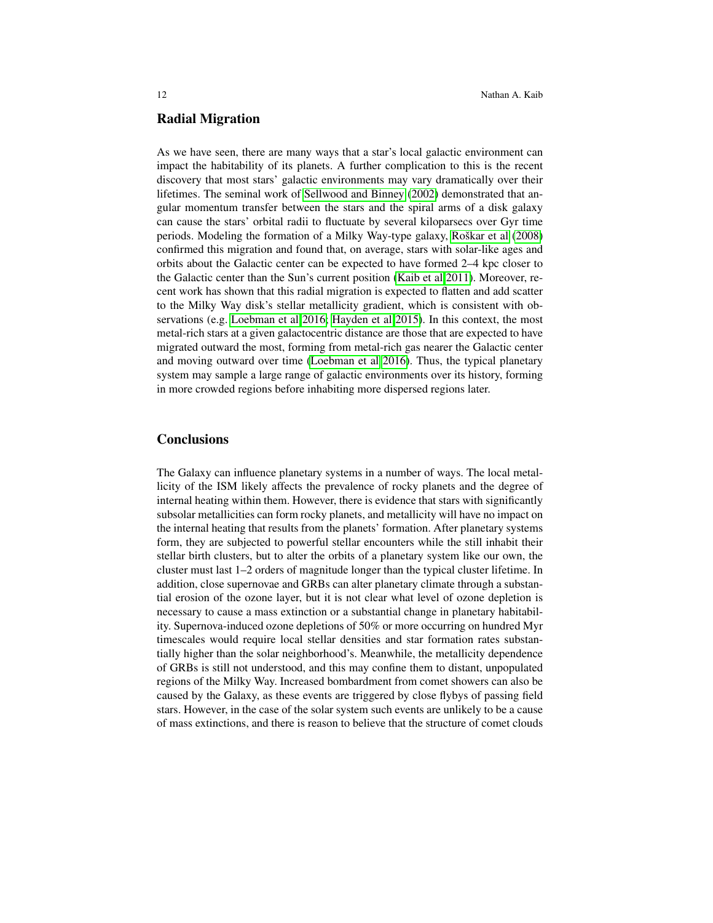## Radial Migration

As we have seen, there are many ways that a star's local galactic environment can impact the habitability of its planets. A further complication to this is the recent discovery that most stars' galactic environments may vary dramatically over their lifetimes. The seminal work of [Sellwood and Binney](#page-18-19) [\(2002\)](#page-18-19) demonstrated that angular momentum transfer between the stars and the spiral arms of a disk galaxy can cause the stars' orbital radii to fluctuate by several kiloparsecs over Gyr time periods. Modeling the formation of a Milky Way-type galaxy, Roškar et al [\(2008\)](#page-18-20) confirmed this migration and found that, on average, stars with solar-like ages and orbits about the Galactic center can be expected to have formed 2–4 kpc closer to the Galactic center than the Sun's current position [\(Kaib et al 2011\)](#page-17-21). Moreover, recent work has shown that this radial migration is expected to flatten and add scatter to the Milky Way disk's stellar metallicity gradient, which is consistent with observations (e.g. [Loebman et al 2016;](#page-17-23) [Hayden et al 2015\)](#page-16-24). In this context, the most metal-rich stars at a given galactocentric distance are those that are expected to have migrated outward the most, forming from metal-rich gas nearer the Galactic center and moving outward over time [\(Loebman et al 2016\)](#page-17-23). Thus, the typical planetary system may sample a large range of galactic environments over its history, forming in more crowded regions before inhabiting more dispersed regions later.

## **Conclusions**

The Galaxy can influence planetary systems in a number of ways. The local metallicity of the ISM likely affects the prevalence of rocky planets and the degree of internal heating within them. However, there is evidence that stars with significantly subsolar metallicities can form rocky planets, and metallicity will have no impact on the internal heating that results from the planets' formation. After planetary systems form, they are subjected to powerful stellar encounters while the still inhabit their stellar birth clusters, but to alter the orbits of a planetary system like our own, the cluster must last 1–2 orders of magnitude longer than the typical cluster lifetime. In addition, close supernovae and GRBs can alter planetary climate through a substantial erosion of the ozone layer, but it is not clear what level of ozone depletion is necessary to cause a mass extinction or a substantial change in planetary habitability. Supernova-induced ozone depletions of 50% or more occurring on hundred Myr timescales would require local stellar densities and star formation rates substantially higher than the solar neighborhood's. Meanwhile, the metallicity dependence of GRBs is still not understood, and this may confine them to distant, unpopulated regions of the Milky Way. Increased bombardment from comet showers can also be caused by the Galaxy, as these events are triggered by close flybys of passing field stars. However, in the case of the solar system such events are unlikely to be a cause of mass extinctions, and there is reason to believe that the structure of comet clouds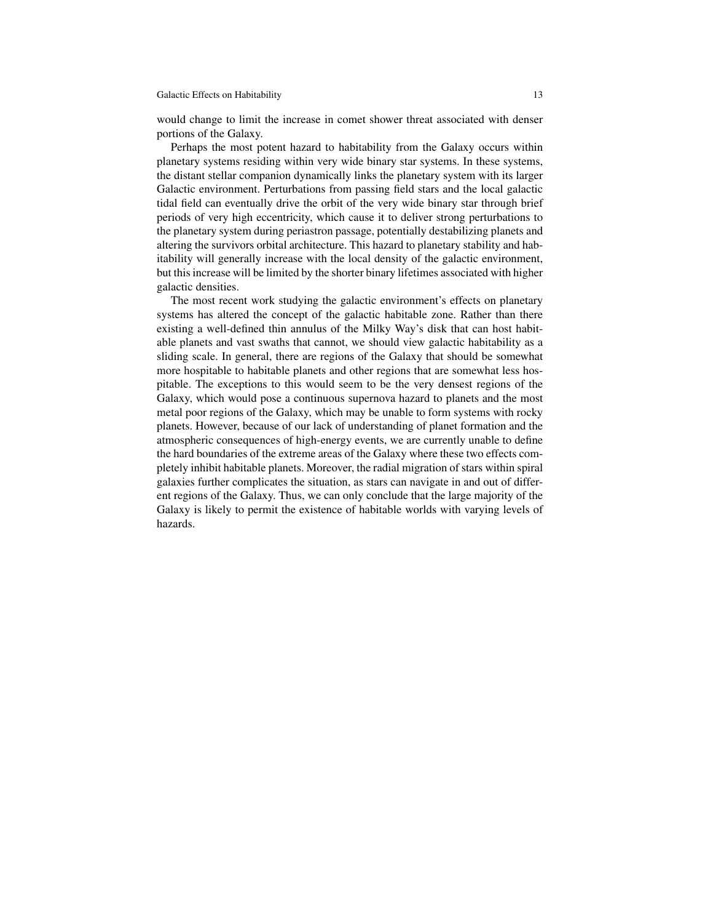would change to limit the increase in comet shower threat associated with denser portions of the Galaxy.

Perhaps the most potent hazard to habitability from the Galaxy occurs within planetary systems residing within very wide binary star systems. In these systems, the distant stellar companion dynamically links the planetary system with its larger Galactic environment. Perturbations from passing field stars and the local galactic tidal field can eventually drive the orbit of the very wide binary star through brief periods of very high eccentricity, which cause it to deliver strong perturbations to the planetary system during periastron passage, potentially destabilizing planets and altering the survivors orbital architecture. This hazard to planetary stability and habitability will generally increase with the local density of the galactic environment, but this increase will be limited by the shorter binary lifetimes associated with higher galactic densities.

The most recent work studying the galactic environment's effects on planetary systems has altered the concept of the galactic habitable zone. Rather than there existing a well-defined thin annulus of the Milky Way's disk that can host habitable planets and vast swaths that cannot, we should view galactic habitability as a sliding scale. In general, there are regions of the Galaxy that should be somewhat more hospitable to habitable planets and other regions that are somewhat less hospitable. The exceptions to this would seem to be the very densest regions of the Galaxy, which would pose a continuous supernova hazard to planets and the most metal poor regions of the Galaxy, which may be unable to form systems with rocky planets. However, because of our lack of understanding of planet formation and the atmospheric consequences of high-energy events, we are currently unable to define the hard boundaries of the extreme areas of the Galaxy where these two effects completely inhibit habitable planets. Moreover, the radial migration of stars within spiral galaxies further complicates the situation, as stars can navigate in and out of different regions of the Galaxy. Thus, we can only conclude that the large majority of the Galaxy is likely to permit the existence of habitable worlds with varying levels of hazards.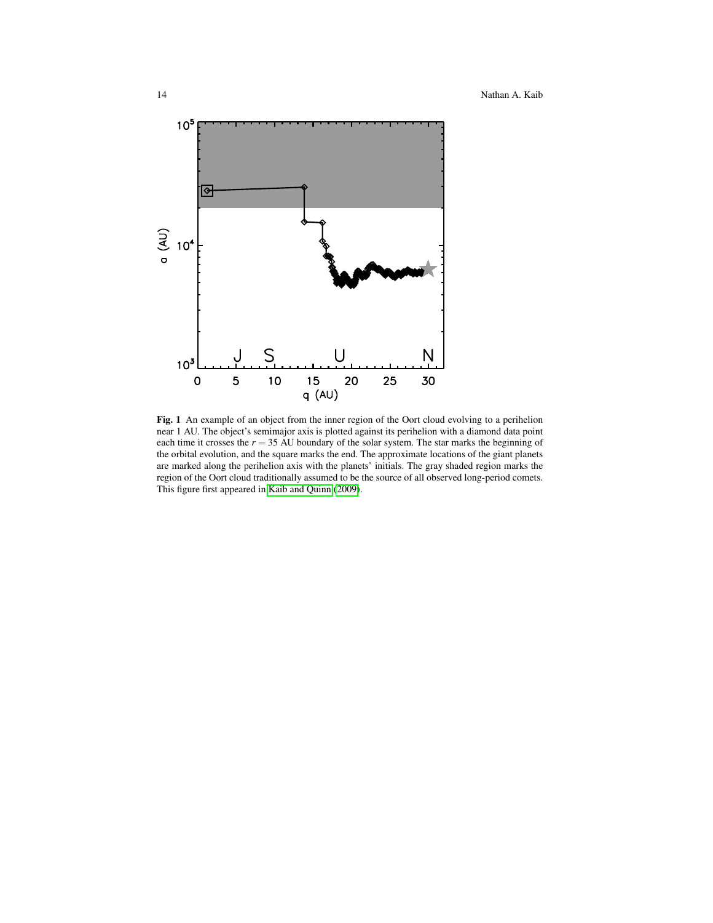

Fig. 1 An example of an object from the inner region of the Oort cloud evolving to a perihelion near 1 AU. The object's semimajor axis is plotted against its perihelion with a diamond data point each time it crosses the  $r = 35$  AU boundary of the solar system. The star marks the beginning of the orbital evolution, and the square marks the end. The approximate locations of the giant planets are marked along the perihelion axis with the planets' initials. The gray shaded region marks the region of the Oort cloud traditionally assumed to be the source of all observed long-period comets. This figure first appeared in [Kaib and Quinn](#page-16-5) [\(2009\)](#page-16-5).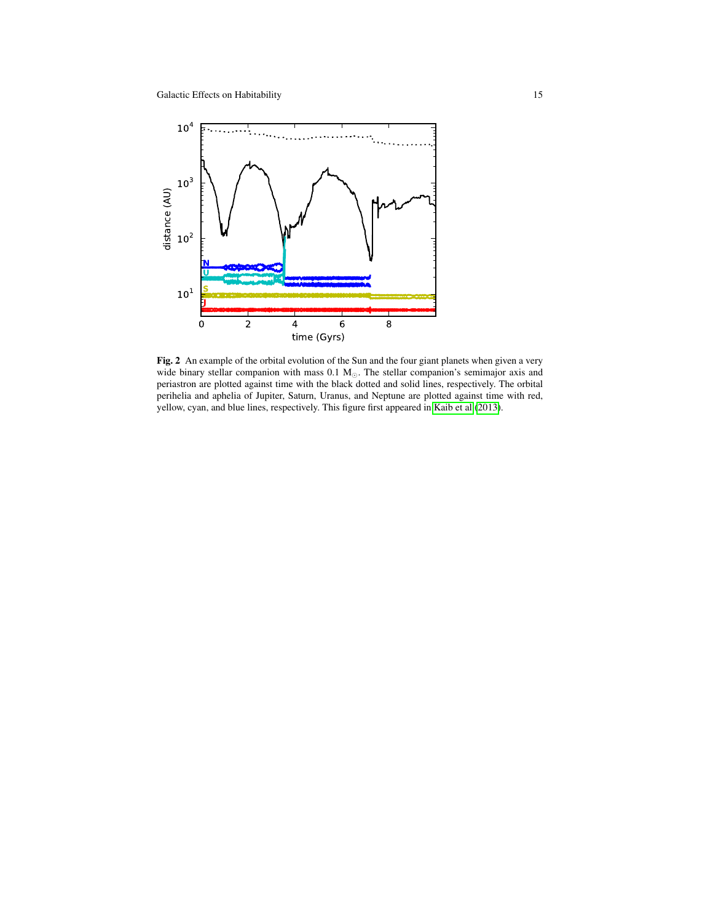

<span id="page-14-0"></span>Fig. 2 An example of the orbital evolution of the Sun and the four giant planets when given a very wide binary stellar companion with mass  $0.1 \text{ M}_{\odot}$ . The stellar companion's semimajor axis and periastron are plotted against time with the black dotted and solid lines, respectively. The orbital perihelia and aphelia of Jupiter, Saturn, Uranus, and Neptune are plotted against time with red, yellow, cyan, and blue lines, respectively. This figure first appeared in [Kaib et al](#page-17-4) [\(2013\)](#page-17-4).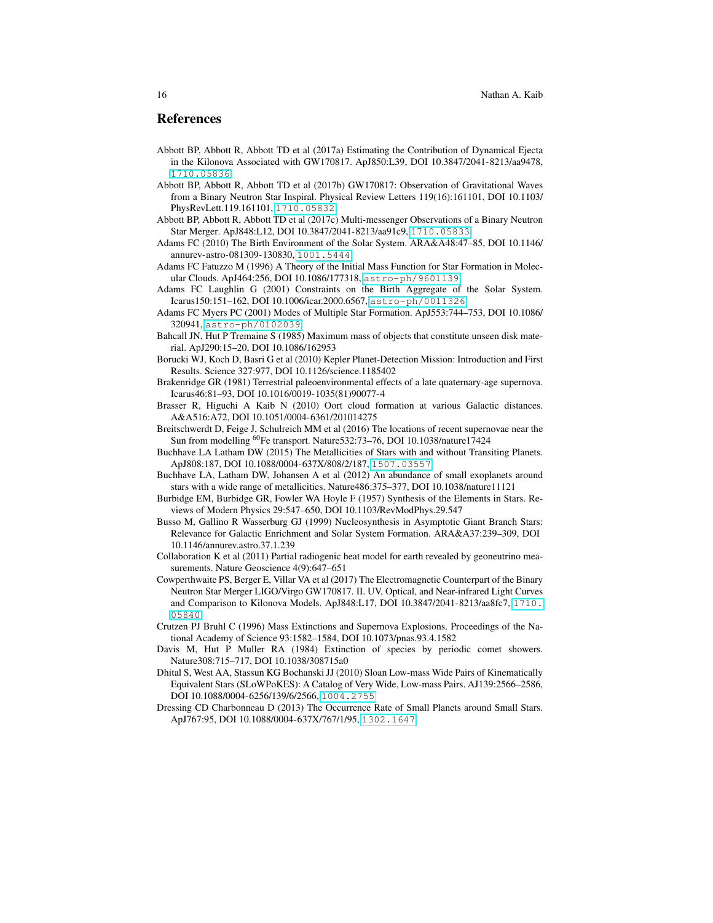### References

- <span id="page-15-7"></span>Abbott BP, Abbott R, Abbott TD et al (2017a) Estimating the Contribution of Dynamical Ejecta in the Kilonova Associated with GW170817. ApJ850:L39, DOI 10.3847/2041-8213/aa9478, <1710.05836>
- <span id="page-15-6"></span>Abbott BP, Abbott R, Abbott TD et al (2017b) GW170817: Observation of Gravitational Waves from a Binary Neutron Star Inspiral. Physical Review Letters 119(16):161101, DOI 10.1103/ PhysRevLett.119.161101, <1710.05832>
- <span id="page-15-8"></span>Abbott BP, Abbott R, Abbott TD et al (2017c) Multi-messenger Observations of a Binary Neutron Star Merger. ApJ848:L12, DOI 10.3847/2041-8213/aa91c9, <1710.05833>
- <span id="page-15-12"></span>Adams FC (2010) The Birth Environment of the Solar System. ARA&A48:47–85, DOI 10.1146/ annurev-astro-081309-130830, <1001.5444>
- <span id="page-15-11"></span>Adams FC Fatuzzo M (1996) A Theory of the Initial Mass Function for Star Formation in Molecular Clouds. ApJ464:256, DOI 10.1086/177318, <astro-ph/9601139>
- <span id="page-15-0"></span>Adams FC Laughlin G (2001) Constraints on the Birth Aggregate of the Solar System. Icarus150:151–162, DOI 10.1006/icar.2000.6567, <astro-ph/0011326>
- <span id="page-15-13"></span>Adams FC Myers PC (2001) Modes of Multiple Star Formation. ApJ553:744–753, DOI 10.1086/ 320941, <astro-ph/0102039>
- <span id="page-15-21"></span>Bahcall JN, Hut P Tremaine S (1985) Maximum mass of objects that constitute unseen disk material. ApJ290:15–20, DOI 10.1086/162953
- <span id="page-15-1"></span>Borucki WJ, Koch D, Basri G et al (2010) Kepler Planet-Detection Mission: Introduction and First Results. Science 327:977, DOI 10.1126/science.1185402
- <span id="page-15-14"></span>Brakenridge GR (1981) Terrestrial paleoenvironmental effects of a late quaternary-age supernova. Icarus46:81–93, DOI 10.1016/0019-1035(81)90077-4
- <span id="page-15-20"></span>Brasser R, Higuchi A Kaib N (2010) Oort cloud formation at various Galactic distances. A&A516:A72, DOI 10.1051/0004-6361/201014275
- <span id="page-15-16"></span>Breitschwerdt D, Feige J, Schulreich MM et al (2016) The locations of recent supernovae near the Sun from modelling <sup>60</sup>Fe transport. Nature532:73–76, DOI 10.1038/nature17424
- <span id="page-15-3"></span>Buchhave LA Latham DW (2015) The Metallicities of Stars with and without Transiting Planets. ApJ808:187, DOI 10.1088/0004-637X/808/2/187, <1507.03557>
- <span id="page-15-2"></span>Buchhave LA, Latham DW, Johansen A et al (2012) An abundance of small exoplanets around stars with a wide range of metallicities. Nature486:375–377, DOI 10.1038/nature11121
- <span id="page-15-4"></span>Burbidge EM, Burbidge GR, Fowler WA Hoyle F (1957) Synthesis of the Elements in Stars. Reviews of Modern Physics 29:547–650, DOI 10.1103/RevModPhys.29.547
- <span id="page-15-5"></span>Busso M, Gallino R Wasserburg GJ (1999) Nucleosynthesis in Asymptotic Giant Branch Stars: Relevance for Galactic Enrichment and Solar System Formation. ARA&A37:239–309, DOI 10.1146/annurev.astro.37.1.239
- <span id="page-15-10"></span>Collaboration K et al (2011) Partial radiogenic heat model for earth revealed by geoneutrino measurements. Nature Geoscience 4(9):647–651
- <span id="page-15-9"></span>Cowperthwaite PS, Berger E, Villar VA et al (2017) The Electromagnetic Counterpart of the Binary Neutron Star Merger LIGO/Virgo GW170817. II. UV, Optical, and Near-infrared Light Curves and Comparison to Kilonova Models. ApJ848:L17, DOI 10.3847/2041-8213/aa8fc7, [1710.](1710.05840) [05840](1710.05840)
- <span id="page-15-15"></span>Crutzen PJ Bruhl C (1996) Mass Extinctions and Supernova Explosions. Proceedings of the National Academy of Science 93:1582–1584, DOI 10.1073/pnas.93.4.1582
- <span id="page-15-17"></span>Davis M, Hut P Muller RA (1984) Extinction of species by periodic comet showers. Nature308:715–717, DOI 10.1038/308715a0
- <span id="page-15-18"></span>Dhital S, West AA, Stassun KG Bochanski JJ (2010) Sloan Low-mass Wide Pairs of Kinematically Equivalent Stars (SLoWPoKES): A Catalog of Very Wide, Low-mass Pairs. AJ139:2566–2586, DOI 10.1088/0004-6256/139/6/2566, <1004.2755>
- <span id="page-15-19"></span>Dressing CD Charbonneau D (2013) The Occurrence Rate of Small Planets around Small Stars. ApJ767:95, DOI 10.1088/0004-637X/767/1/95, <1302.1647>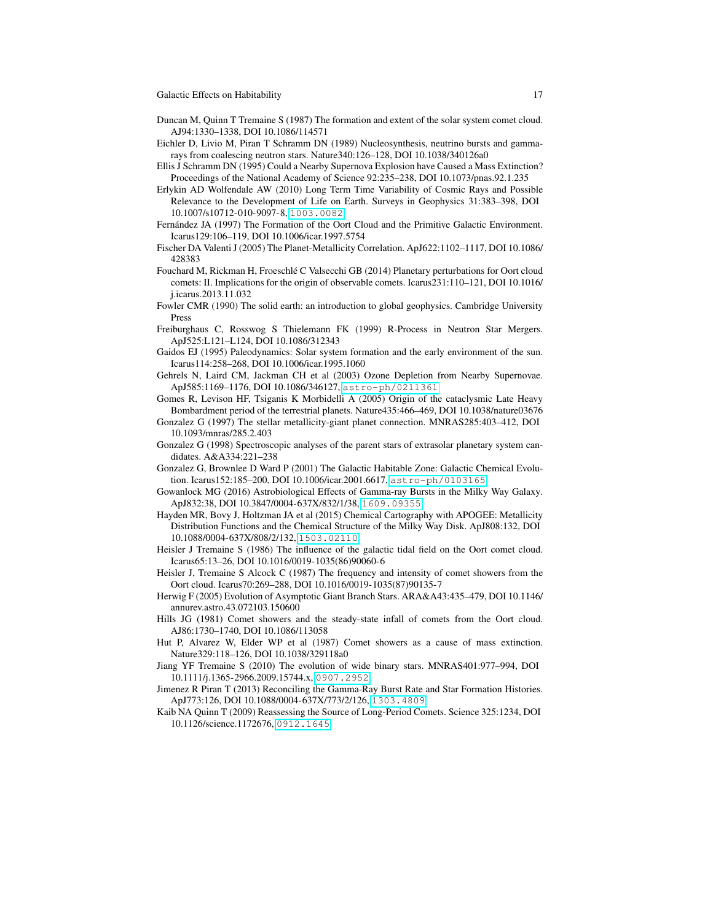- <span id="page-16-20"></span>Duncan M, Quinn T Tremaine S (1987) The formation and extent of the solar system comet cloud. AJ94:1330–1338, DOI 10.1086/114571
- <span id="page-16-13"></span>Eichler D, Livio M, Piran T Schramm DN (1989) Nucleosynthesis, neutrino bursts and gammarays from coalescing neutron stars. Nature340:126–128, DOI 10.1038/340126a0
- <span id="page-16-1"></span>Ellis J Schramm DN (1995) Could a Nearby Supernova Explosion have Caused a Mass Extinction? Proceedings of the National Academy of Science 92:235–238, DOI 10.1073/pnas.92.1.235
- <span id="page-16-17"></span>Erlykin AD Wolfendale AW (2010) Long Term Time Variability of Cosmic Rays and Possible Relevance to the Development of Life on Earth. Surveys in Geophysics 31:383–398, DOI 10.1007/s10712-010-9097-8, <1003.0082>
- <span id="page-16-15"></span>Fernández JA (1997) The Formation of the Oort Cloud and the Primitive Galactic Environment. Icarus129:106–119, DOI 10.1006/icar.1997.5754
- <span id="page-16-9"></span>Fischer DA Valenti J (2005) The Planet-Metallicity Correlation. ApJ622:1102–1117, DOI 10.1086/ 428383
- <span id="page-16-22"></span>Fouchard M, Rickman H, Froeschlé C Valsecchi GB (2014) Planetary perturbations for Oort cloud comets: II. Implications for the origin of observable comets. Icarus231:110–121, DOI 10.1016/ j.icarus.2013.11.032
- <span id="page-16-11"></span>Fowler CMR (1990) The solid earth: an introduction to global geophysics. Cambridge University Press
- <span id="page-16-14"></span>Freiburghaus C, Rosswog S Thielemann FK (1999) R-Process in Neutron Star Mergers. ApJ525:L121–L124, DOI 10.1086/312343
- <span id="page-16-0"></span>Gaidos EJ (1995) Paleodynamics: Solar system formation and the early environment of the sun. Icarus114:258–268, DOI 10.1006/icar.1995.1060
- <span id="page-16-16"></span>Gehrels N, Laird CM, Jackman CH et al (2003) Ozone Depletion from Nearby Supernovae. ApJ585:1169–1176, DOI 10.1086/346127, <astro-ph/0211361>
- <span id="page-16-23"></span>Gomes R, Levison HF, Tsiganis K Morbidelli A (2005) Origin of the cataclysmic Late Heavy Bombardment period of the terrestrial planets. Nature435:466–469, DOI 10.1038/nature03676
- <span id="page-16-7"></span>Gonzalez G (1997) The stellar metallicity-giant planet connection. MNRAS285:403–412, DOI 10.1093/mnras/285.2.403
- <span id="page-16-8"></span>Gonzalez G (1998) Spectroscopic analyses of the parent stars of extrasolar planetary system candidates. A&A334:221–238
- <span id="page-16-10"></span>Gonzalez G, Brownlee D Ward P (2001) The Galactic Habitable Zone: Galactic Chemical Evolution. Icarus152:185–200, DOI 10.1006/icar.2001.6617, <astro-ph/0103165>
- <span id="page-16-19"></span>Gowanlock MG (2016) Astrobiological Effects of Gamma-ray Bursts in the Milky Way Galaxy. ApJ832:38, DOI 10.3847/0004-637X/832/1/38, <1609.09355>
- <span id="page-16-24"></span>Hayden MR, Bovy J, Holtzman JA et al (2015) Chemical Cartography with APOGEE: Metallicity Distribution Functions and the Chemical Structure of the Milky Way Disk. ApJ808:132, DOI 10.1088/0004-637X/808/2/132, <1503.02110>
- <span id="page-16-2"></span>Heisler J Tremaine S (1986) The influence of the galactic tidal field on the Oort comet cloud. Icarus65:13–26, DOI 10.1016/0019-1035(86)90060-6
- <span id="page-16-3"></span>Heisler J, Tremaine S Alcock C (1987) The frequency and intensity of comet showers from the Oort cloud. Icarus70:269–288, DOI 10.1016/0019-1035(87)90135-7
- <span id="page-16-12"></span>Herwig F (2005) Evolution of Asymptotic Giant Branch Stars. ARA&A43:435–479, DOI 10.1146/ annurev.astro.43.072103.150600
- <span id="page-16-4"></span>Hills JG (1981) Comet showers and the steady-state infall of comets from the Oort cloud. AJ86:1730–1740, DOI 10.1086/113058
- <span id="page-16-21"></span>Hut P, Alvarez W, Elder WP et al (1987) Comet showers as a cause of mass extinction. Nature329:118–126, DOI 10.1038/329118a0
- <span id="page-16-6"></span>Jiang YF Tremaine S (2010) The evolution of wide binary stars. MNRAS401:977–994, DOI 10.1111/j.1365-2966.2009.15744.x, <0907.2952>
- <span id="page-16-18"></span>Jimenez R Piran T (2013) Reconciling the Gamma-Ray Burst Rate and Star Formation Histories. ApJ773:126, DOI 10.1088/0004-637X/773/2/126, <1303.4809>
- <span id="page-16-5"></span>Kaib NA Quinn T (2009) Reassessing the Source of Long-Period Comets. Science 325:1234, DOI 10.1126/science.1172676, <0912.1645>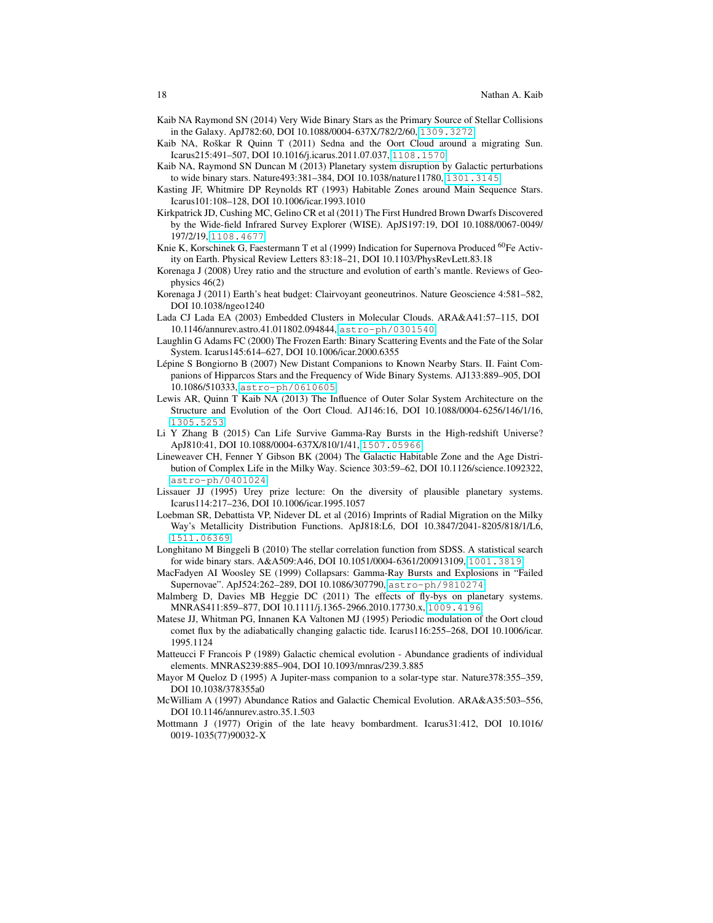<span id="page-17-3"></span>Kaib NA Raymond SN (2014) Very Wide Binary Stars as the Primary Source of Stellar Collisions in the Galaxy. ApJ782:60, DOI 10.1088/0004-637X/782/2/60, <1309.3272>

<span id="page-17-21"></span>Kaib NA, Roškar R Quinn T (2011) Sedna and the Oort Cloud around a migrating Sun. Icarus215:491–507, DOI 10.1016/j.icarus.2011.07.037, <1108.1570>

- <span id="page-17-4"></span>Kaib NA, Raymond SN Duncan M (2013) Planetary system disruption by Galactic perturbations to wide binary stars. Nature493:381–384, DOI 10.1038/nature11780, <1301.3145>
- <span id="page-17-8"></span>Kasting JF, Whitmire DP Reynolds RT (1993) Habitable Zones around Main Sequence Stars. Icarus101:108–128, DOI 10.1006/icar.1993.1010
- <span id="page-17-18"></span>Kirkpatrick JD, Cushing MC, Gelino CR et al (2011) The First Hundred Brown Dwarfs Discovered by the Wide-field Infrared Survey Explorer (WISE). ApJS197:19, DOI 10.1088/0067-0049/ 197/2/19, <1108.4677>
- <span id="page-17-15"></span>Knie K, Korschinek G, Faestermann T et al (1999) Indication for Supernova Produced <sup>60</sup>Fe Activity on Earth. Physical Review Letters 83:18–21, DOI 10.1103/PhysRevLett.83.18
- <span id="page-17-11"></span>Korenaga J (2008) Urey ratio and the structure and evolution of earth's mantle. Reviews of Geophysics 46(2)
- <span id="page-17-9"></span>Korenaga J (2011) Earth's heat budget: Clairvoyant geoneutrinos. Nature Geoscience 4:581–582, DOI 10.1038/ngeo1240
- <span id="page-17-12"></span>Lada CJ Lada EA (2003) Embedded Clusters in Molecular Clouds. ARA&A41:57–115, DOI 10.1146/annurev.astro.41.011802.094844, <astro-ph/0301540>
- <span id="page-17-13"></span>Laughlin G Adams FC (2000) The Frozen Earth: Binary Scattering Events and the Fate of the Solar System. Icarus145:614–627, DOI 10.1006/icar.2000.6355
- <span id="page-17-19"></span>Lepine S Bongiorno B (2007) New Distant Companions to Known Nearby Stars. II. Faint Com- ´ panions of Hipparcos Stars and the Frequency of Wide Binary Systems. AJ133:889–905, DOI 10.1086/510333, <astro-ph/0610605>
- <span id="page-17-22"></span>Lewis AR, Quinn T Kaib NA (2013) The Influence of Outer Solar System Architecture on the Structure and Evolution of the Oort Cloud. AJ146:16, DOI 10.1088/0004-6256/146/1/16, <1305.5253>
- <span id="page-17-16"></span>Li Y Zhang B (2015) Can Life Survive Gamma-Ray Bursts in the High-redshift Universe? ApJ810:41, DOI 10.1088/0004-637X/810/1/41, <1507.05966>
- <span id="page-17-7"></span>Lineweaver CH, Fenner Y Gibson BK (2004) The Galactic Habitable Zone and the Age Distribution of Complex Life in the Milky Way. Science 303:59–62, DOI 10.1126/science.1092322, <astro-ph/0401024>
- <span id="page-17-0"></span>Lissauer JJ (1995) Urey prize lecture: On the diversity of plausible planetary systems. Icarus114:217–236, DOI 10.1006/icar.1995.1057
- <span id="page-17-23"></span>Loebman SR, Debattista VP, Nidever DL et al (2016) Imprints of Radial Migration on the Milky Way's Metallicity Distribution Functions. ApJ818:L6, DOI 10.3847/2041-8205/818/1/L6, <1511.06369>
- <span id="page-17-20"></span>Longhitano M Binggeli B (2010) The stellar correlation function from SDSS. A statistical search for wide binary stars. A&A509:A46, DOI 10.1051/0004-6361/200913109, <1001.3819>
- <span id="page-17-17"></span>MacFadyen AI Woosley SE (1999) Collapsars: Gamma-Ray Bursts and Explosions in "Failed Supernovae". ApJ524:262–289, DOI 10.1086/307790, <astro-ph/9810274>
- <span id="page-17-14"></span>Malmberg D, Davies MB Heggie DC (2011) The effects of fly-bys on planetary systems. MNRAS411:859–877, DOI 10.1111/j.1365-2966.2010.17730.x, <1009.4196>
- <span id="page-17-2"></span>Matese JJ, Whitman PG, Innanen KA Valtonen MJ (1995) Periodic modulation of the Oort cloud comet flux by the adiabatically changing galactic tide. Icarus116:255–268, DOI 10.1006/icar. 1995.1124
- <span id="page-17-6"></span>Matteucci F Francois P (1989) Galactic chemical evolution - Abundance gradients of individual elements. MNRAS239:885–904, DOI 10.1093/mnras/239.3.885
- <span id="page-17-5"></span>Mayor M Queloz D (1995) A Jupiter-mass companion to a solar-type star. Nature378:355–359, DOI 10.1038/378355a0
- <span id="page-17-10"></span>McWilliam A (1997) Abundance Ratios and Galactic Chemical Evolution. ARA&A35:503–556, DOI 10.1146/annurev.astro.35.1.503
- <span id="page-17-1"></span>Mottmann J (1977) Origin of the late heavy bombardment. Icarus31:412, DOI 10.1016/ 0019-1035(77)90032-X